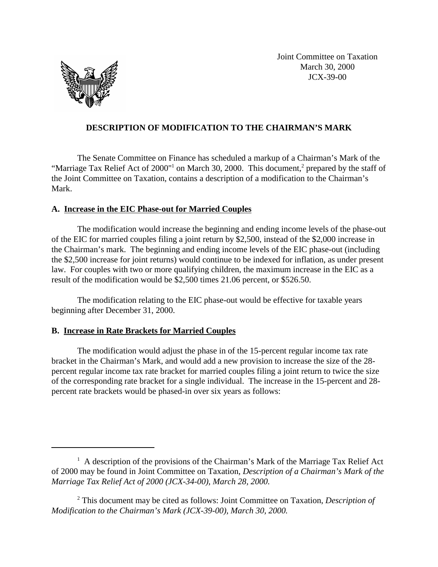

Joint Committee on Taxation March 30, 2000 JCX-39-00

## **DESCRIPTION OF MODIFICATION TO THE CHAIRMAN'S MARK**

The Senate Committee on Finance has scheduled a markup of a Chairman's Mark of the "Marriage Tax Relief Act of 2000"<sup>1</sup> on March 30, 2000. This document,<sup>2</sup> prepared by the staff of the Joint Committee on Taxation, contains a description of a modification to the Chairman's Mark.

## **A. Increase in the EIC Phase-out for Married Couples**

The modification would increase the beginning and ending income levels of the phase-out of the EIC for married couples filing a joint return by \$2,500, instead of the \$2,000 increase in the Chairman's mark. The beginning and ending income levels of the EIC phase-out (including the \$2,500 increase for joint returns) would continue to be indexed for inflation, as under present law. For couples with two or more qualifying children, the maximum increase in the EIC as a result of the modification would be \$2,500 times 21.06 percent, or \$526.50.

The modification relating to the EIC phase-out would be effective for taxable years beginning after December 31, 2000.

## **B. Increase in Rate Brackets for Married Couples**

The modification would adjust the phase in of the 15-percent regular income tax rate bracket in the Chairman's Mark, and would add a new provision to increase the size of the 28 percent regular income tax rate bracket for married couples filing a joint return to twice the size of the corresponding rate bracket for a single individual. The increase in the 15-percent and 28 percent rate brackets would be phased-in over six years as follows:

<sup>&</sup>lt;sup>1</sup> A description of the provisions of the Chairman's Mark of the Marriage Tax Relief Act of 2000 may be found in Joint Committee on Taxation, *Description of a Chairman's Mark of the Marriage Tax Relief Act of 2000 (JCX-34-00), March 28, 2000.*

<sup>2</sup> This document may be cited as follows: Joint Committee on Taxation, *Description of Modification to the Chairman's Mark (JCX-39-00), March 30, 2000.*